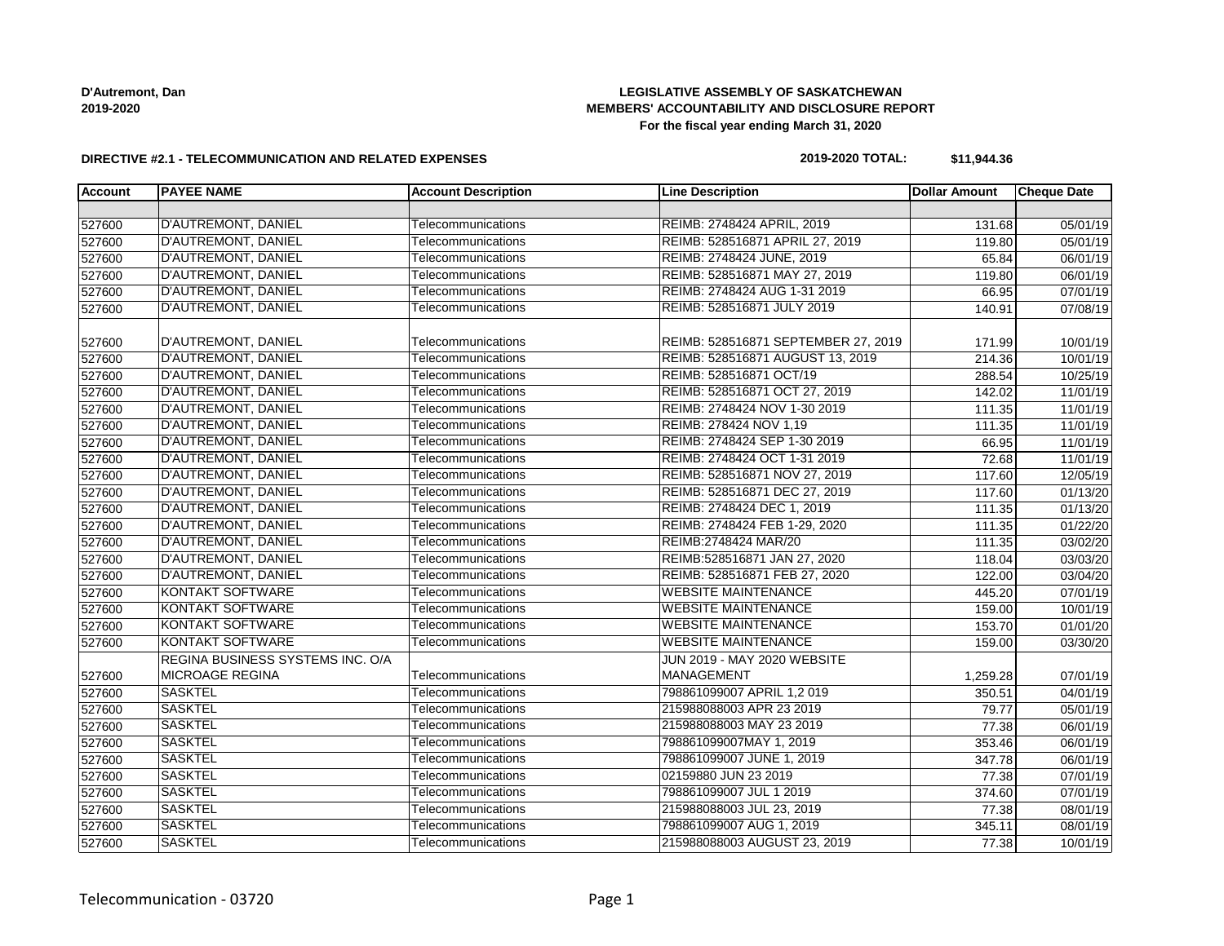# **LEGISLATIVE ASSEMBLY OF SASKATCHEWAN MEMBERS' ACCOUNTABILITY AND DISCLOSURE REPORT For the fiscal year ending March 31, 2020**

#### **DIRECTIVE #2.1 - TELECOMMUNICATION AND RELATED EXPENSES**

#### **2019-2020 TOTAL: \$11,944.36**

| <b>Account</b> | <b>PAYEE NAME</b>                | <b>Account Description</b> | <b>Line Description</b>             | <b>Dollar Amount</b> | <b>Cheque Date</b> |
|----------------|----------------------------------|----------------------------|-------------------------------------|----------------------|--------------------|
|                |                                  |                            |                                     |                      |                    |
| 527600         | <b>D'AUTREMONT, DANIEL</b>       | Telecommunications         | REIMB: 2748424 APRIL, 2019          | 131.68               | 05/01/19           |
| 527600         | D'AUTREMONT, DANIEL              | Telecommunications         | REIMB: 528516871 APRIL 27, 2019     | 119.80               | 05/01/19           |
| 527600         | D'AUTREMONT, DANIEL              | Telecommunications         | REIMB: 2748424 JUNE, 2019           | 65.84                | 06/01/19           |
| 527600         | D'AUTREMONT, DANIEL              | Telecommunications         | REIMB: 528516871 MAY 27, 2019       | 119.80               | 06/01/19           |
| 527600         | D'AUTREMONT, DANIEL              | Telecommunications         | REIMB: 2748424 AUG 1-31 2019        | 66.95                | 07/01/19           |
| 527600         | D'AUTREMONT, DANIEL              | Telecommunications         | REIMB: 528516871 JULY 2019          | 140.91               | 07/08/19           |
| 527600         | D'AUTREMONT, DANIEL              | Telecommunications         | REIMB: 528516871 SEPTEMBER 27, 2019 | 171.99               | 10/01/19           |
| 527600         | <b>D'AUTREMONT, DANIEL</b>       | Telecommunications         | REIMB: 528516871 AUGUST 13, 2019    | 214.36               | 10/01/19           |
| 527600         | D'AUTREMONT, DANIEL              | Telecommunications         | REIMB: 528516871 OCT/19             | 288.54               | 10/25/19           |
| 527600         | D'AUTREMONT, DANIEL              | Telecommunications         | REIMB: 528516871 OCT 27, 2019       | 142.02               | 11/01/19           |
| 527600         | D'AUTREMONT, DANIEL              | Telecommunications         | REIMB: 2748424 NOV 1-30 2019        | 111.35               | 11/01/19           |
| 527600         | D'AUTREMONT, DANIEL              | Telecommunications         | REIMB: 278424 NOV 1,19              | 111.35               | 11/01/19           |
| 527600         | D'AUTREMONT, DANIEL              | Telecommunications         | REIMB: 2748424 SEP 1-30 2019        | 66.95                | 11/01/19           |
| 527600         | D'AUTREMONT, DANIEL              | Telecommunications         | REIMB: 2748424 OCT 1-31 2019        | 72.68                | 11/01/19           |
| 527600         | <b>D'AUTREMONT, DANIEL</b>       | Telecommunications         | REIMB: 528516871 NOV 27, 2019       | 117.60               | 12/05/19           |
| 527600         | <b>D'AUTREMONT, DANIEL</b>       | Telecommunications         | REIMB: 528516871 DEC 27, 2019       | 117.60               | 01/13/20           |
| 527600         | D'AUTREMONT, DANIEL              | Telecommunications         | REIMB: 2748424 DEC 1, 2019          | 111.35               | 01/13/20           |
| 527600         | D'AUTREMONT, DANIEL              | Telecommunications         | REIMB: 2748424 FEB 1-29, 2020       | 111.35               | 01/22/20           |
| 527600         | <b>D'AUTREMONT, DANIEL</b>       | Telecommunications         | REIMB:2748424 MAR/20                | 111.35               | 03/02/20           |
| 527600         | D'AUTREMONT, DANIEL              | Telecommunications         | REIMB:528516871 JAN 27, 2020        | 118.04               | 03/03/20           |
| 527600         | D'AUTREMONT, DANIEL              | Telecommunications         | REIMB: 528516871 FEB 27, 2020       | 122.00               | 03/04/20           |
| 527600         | <b>KONTAKT SOFTWARE</b>          | Telecommunications         | <b>WEBSITE MAINTENANCE</b>          | 445.20               | 07/01/19           |
| 527600         | <b>KONTAKT SOFTWARE</b>          | Telecommunications         | <b>WEBSITE MAINTENANCE</b>          | 159.00               | 10/01/19           |
| 527600         | <b>KONTAKT SOFTWARE</b>          | Telecommunications         | <b>WEBSITE MAINTENANCE</b>          | 153.70               | 01/01/20           |
| 527600         | <b>KONTAKT SOFTWARE</b>          | Telecommunications         | <b>WEBSITE MAINTENANCE</b>          | 159.00               | 03/30/20           |
|                | REGINA BUSINESS SYSTEMS INC. O/A |                            | JUN 2019 - MAY 2020 WEBSITE         |                      |                    |
| 527600         | <b>MICROAGE REGINA</b>           | Telecommunications         | <b>MANAGEMENT</b>                   | 1,259.28             | 07/01/19           |
| 527600         | <b>SASKTEL</b>                   | Telecommunications         | 798861099007 APRIL 1,2 019          | 350.51               | 04/01/19           |
| 527600         | <b>SASKTEL</b>                   | Telecommunications         | 215988088003 APR 23 2019            | 79.77                | 05/01/19           |
| 527600         | <b>SASKTEL</b>                   | Telecommunications         | 215988088003 MAY 23 2019            | 77.38                | 06/01/19           |
| 527600         | <b>SASKTEL</b>                   | Telecommunications         | 798861099007MAY 1, 2019             | 353.46               | 06/01/19           |
| 527600         | <b>SASKTEL</b>                   | Telecommunications         | 798861099007 JUNE 1, 2019           | 347.78               | 06/01/19           |
| 527600         | <b>SASKTEL</b>                   | Telecommunications         | 02159880 JUN 23 2019                | 77.38                | 07/01/19           |
| 527600         | <b>SASKTEL</b>                   | Telecommunications         | 798861099007 JUL 1 2019             | 374.60               | 07/01/19           |
| 527600         | <b>SASKTEL</b>                   | Telecommunications         | 215988088003 JUL 23, 2019           | 77.38                | 08/01/19           |
| 527600         | <b>SASKTEL</b>                   | Telecommunications         | 798861099007 AUG 1, 2019            | 345.11               | 08/01/19           |
| 527600         | <b>SASKTEL</b>                   | Telecommunications         | 215988088003 AUGUST 23, 2019        | 77.38                | 10/01/19           |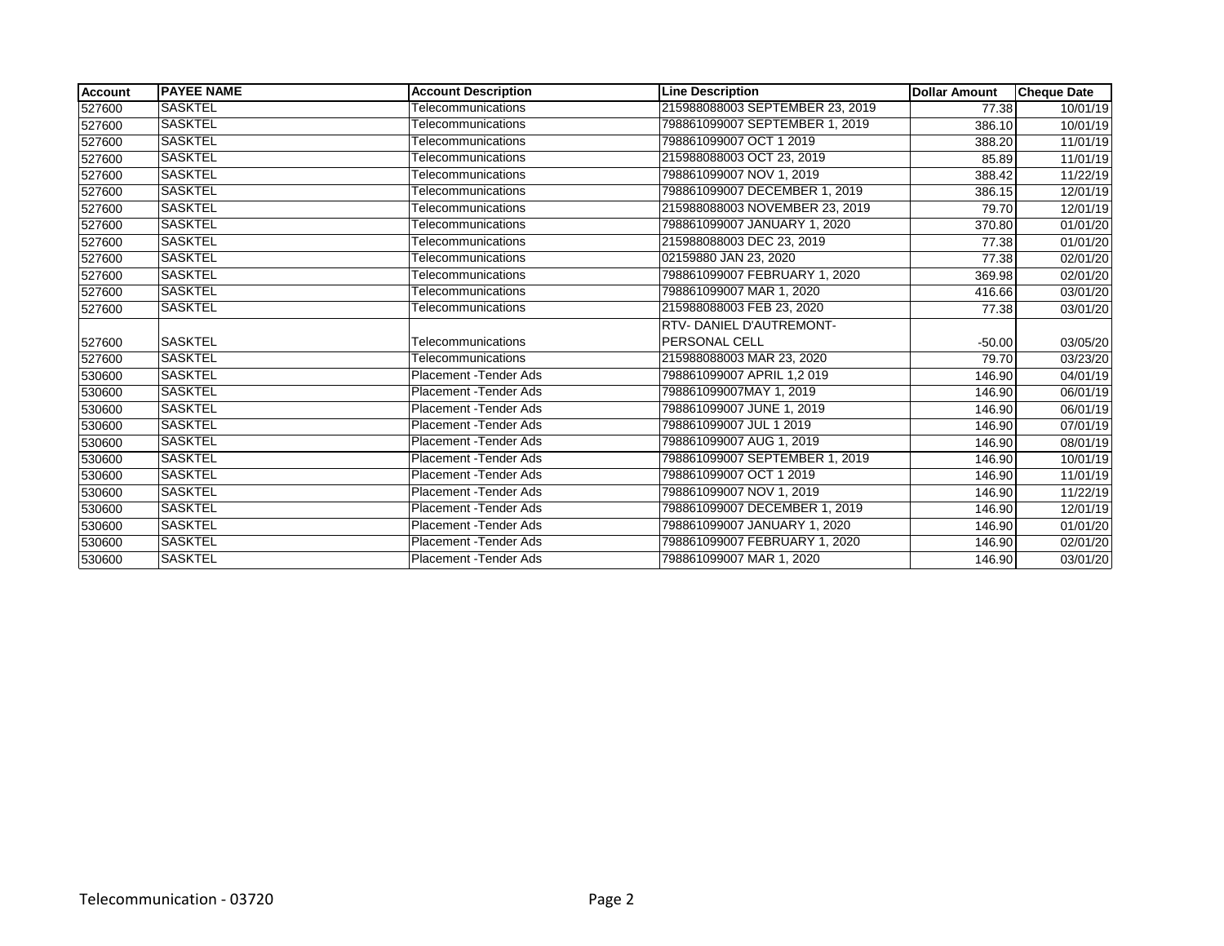| Account | <b>IPAYEE NAME</b> | <b>Account Description</b> | <b>Line Description</b>         | <b>Dollar Amount</b> | <b>Cheque Date</b> |
|---------|--------------------|----------------------------|---------------------------------|----------------------|--------------------|
| 527600  | <b>SASKTEL</b>     | Telecommunications         | 215988088003 SEPTEMBER 23, 2019 | 77.38                | 10/01/19           |
| 527600  | <b>SASKTEL</b>     | Telecommunications         | 798861099007 SEPTEMBER 1, 2019  | 386.10               | 10/01/19           |
| 527600  | <b>SASKTEL</b>     | Telecommunications         | 798861099007 OCT 1 2019         | 388.20               | 11/01/19           |
| 527600  | <b>SASKTEL</b>     | Telecommunications         | 215988088003 OCT 23, 2019       | 85.89                | 11/01/19           |
| 527600  | <b>SASKTEL</b>     | Telecommunications         | 798861099007 NOV 1, 2019        | 388.42               | 11/22/19           |
| 527600  | <b>SASKTEL</b>     | Telecommunications         | 798861099007 DECEMBER 1, 2019   | 386.15               | 12/01/19           |
| 527600  | <b>SASKTEL</b>     | Telecommunications         | 215988088003 NOVEMBER 23, 2019  | 79.70                | 12/01/19           |
| 527600  | <b>SASKTEL</b>     | Telecommunications         | 798861099007 JANUARY 1, 2020    | 370.80               | 01/01/20           |
| 527600  | <b>SASKTEL</b>     | Telecommunications         | 215988088003 DEC 23, 2019       | 77.38                | 01/01/20           |
| 527600  | <b>SASKTEL</b>     | Telecommunications         | 02159880 JAN 23, 2020           | 77.38                | 02/01/20           |
| 527600  | <b>SASKTEL</b>     | Telecommunications         | 798861099007 FEBRUARY 1, 2020   | 369.98               | 02/01/20           |
| 527600  | <b>SASKTEL</b>     | Telecommunications         | 798861099007 MAR 1, 2020        | 416.66               | 03/01/20           |
| 527600  | <b>SASKTEL</b>     | Telecommunications         | 215988088003 FEB 23, 2020       | 77.38                | 03/01/20           |
|         |                    |                            | RTV-DANIEL D'AUTREMONT-         |                      |                    |
| 527600  | <b>SASKTEL</b>     | Telecommunications         | <b>PERSONAL CELL</b>            | $-50.00$             | 03/05/20           |
| 527600  | <b>SASKTEL</b>     | Telecommunications         | 215988088003 MAR 23, 2020       | 79.70                | 03/23/20           |
| 530600  | <b>SASKTEL</b>     | Placement - Tender Ads     | 798861099007 APRIL 1,2 019      | 146.90               | 04/01/19           |
| 530600  | <b>SASKTEL</b>     | Placement - Tender Ads     | 798861099007MAY 1.2019          | 146.90               | 06/01/19           |
| 530600  | ISASKTEL           | Placement - Tender Ads     | 798861099007 JUNE 1, 2019       | 146.90               | 06/01/19           |
| 530600  | <b>SASKTEL</b>     | Placement - Tender Ads     | 798861099007 JUL 1 2019         | 146.90               | 07/01/19           |
| 530600  | <b>SASKTEL</b>     | Placement - Tender Ads     | 798861099007 AUG 1, 2019        | 146.90               | 08/01/19           |
| 530600  | <b>SASKTEL</b>     | Placement - Tender Ads     | 798861099007 SEPTEMBER 1, 2019  | 146.90               | 10/01/19           |
| 530600  | <b>SASKTEL</b>     | Placement - Tender Ads     | 798861099007 OCT 1 2019         | 146.90               | 11/01/19           |
| 530600  | <b>SASKTEL</b>     | Placement - Tender Ads     | 798861099007 NOV 1, 2019        | 146.90               | 11/22/19           |
| 530600  | <b>SASKTEL</b>     | Placement - Tender Ads     | 798861099007 DECEMBER 1, 2019   | 146.90               | 12/01/19           |
| 530600  | <b>SASKTEL</b>     | Placement - Tender Ads     | 798861099007 JANUARY 1, 2020    | 146.90               | 01/01/20           |
| 530600  | <b>SASKTEL</b>     | Placement - Tender Ads     | 798861099007 FEBRUARY 1, 2020   | 146.90               | 02/01/20           |
| 530600  | <b>SASKTEL</b>     | Placement - Tender Ads     | 798861099007 MAR 1, 2020        | 146.90               | 03/01/20           |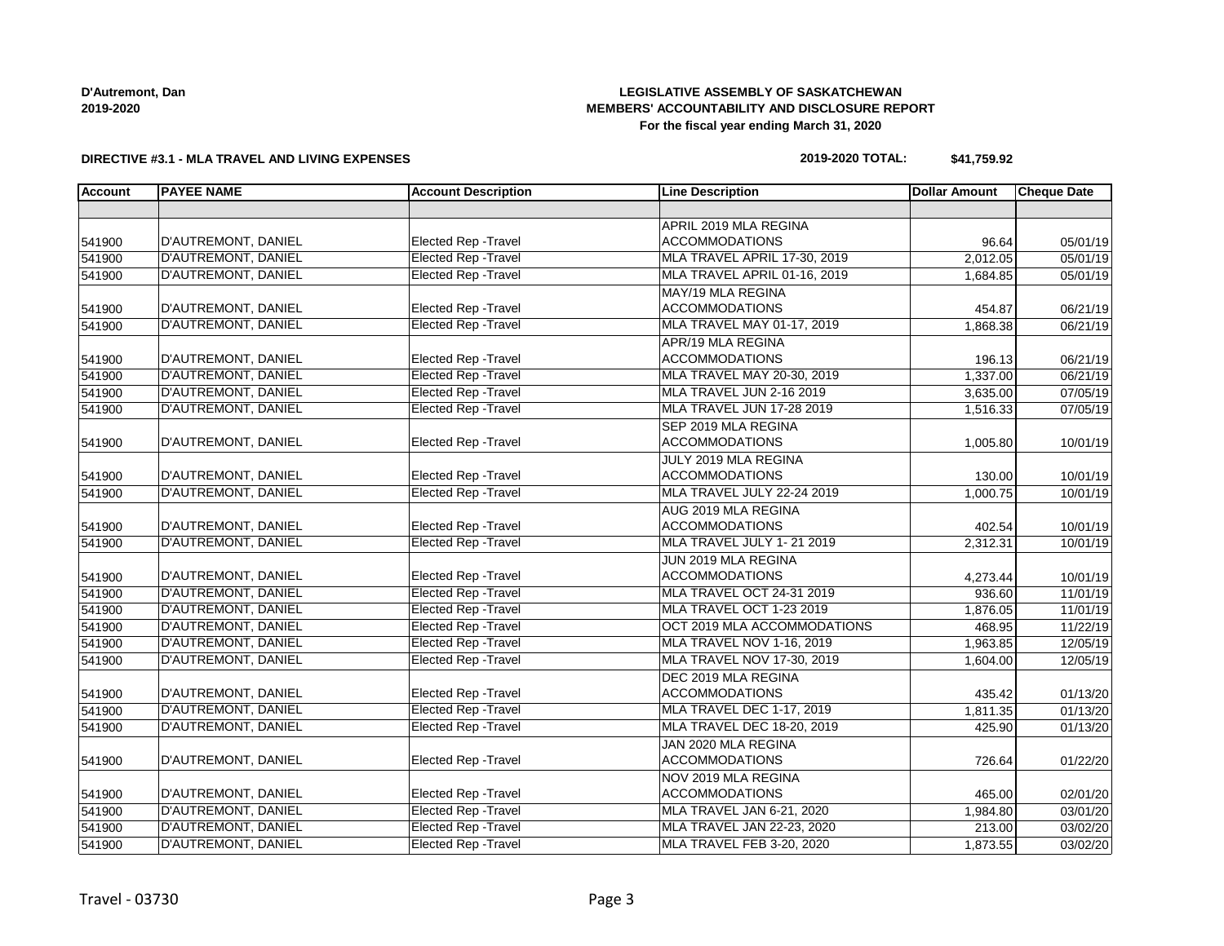# **LEGISLATIVE ASSEMBLY OF SASKATCHEWAN MEMBERS' ACCOUNTABILITY AND DISCLOSURE REPORT For the fiscal year ending March 31, 2020**

#### **DIRECTIVE #3.1 - MLA TRAVEL AND LIVING EXPENSES**

#### **2019-2020 TOTAL: \$41,759.92**

| <b>Account</b> | <b>PAYEE NAME</b>          | <b>Account Description</b>  | <b>Line Description</b>           | <b>Dollar Amount</b> | <b>Cheque Date</b> |
|----------------|----------------------------|-----------------------------|-----------------------------------|----------------------|--------------------|
|                |                            |                             |                                   |                      |                    |
|                |                            |                             | APRIL 2019 MLA REGINA             |                      |                    |
| 541900         | D'AUTREMONT, DANIEL        | <b>Elected Rep - Travel</b> | <b>ACCOMMODATIONS</b>             | 96.64                | 05/01/19           |
| 541900         | D'AUTREMONT, DANIEL        | <b>Elected Rep - Travel</b> | MLA TRAVEL APRIL 17-30, 2019      | 2,012.05             | 05/01/19           |
| 541900         | D'AUTREMONT, DANIEL        | <b>Elected Rep - Travel</b> | MLA TRAVEL APRIL 01-16, 2019      | 1,684.85             | 05/01/19           |
|                |                            |                             | MAY/19 MLA REGINA                 |                      |                    |
| 541900         | D'AUTREMONT, DANIEL        | Elected Rep - Travel        | <b>ACCOMMODATIONS</b>             | 454.87               | 06/21/19           |
| 541900         | D'AUTREMONT, DANIEL        | <b>Elected Rep - Travel</b> | <b>MLA TRAVEL MAY 01-17, 2019</b> | 1,868.38             | 06/21/19           |
|                |                            |                             | APR/19 MLA REGINA                 |                      |                    |
| 541900         | D'AUTREMONT, DANIEL        | <b>Elected Rep - Travel</b> | <b>ACCOMMODATIONS</b>             | 196.13               | 06/21/19           |
| 541900         | D'AUTREMONT, DANIEL        | <b>Elected Rep - Travel</b> | MLA TRAVEL MAY 20-30, 2019        | 1,337.00             | 06/21/19           |
| 541900         | D'AUTREMONT, DANIEL        | <b>Elected Rep - Travel</b> | MLA TRAVEL JUN 2-16 2019          | 3,635.00             | 07/05/19           |
| 541900         | <b>D'AUTREMONT, DANIEL</b> | <b>Elected Rep - Travel</b> | MLA TRAVEL JUN 17-28 2019         | 1,516.33             | 07/05/19           |
|                |                            |                             | SEP 2019 MLA REGINA               |                      |                    |
| 541900         | D'AUTREMONT, DANIEL        | Elected Rep - Travel        | <b>ACCOMMODATIONS</b>             | 1,005.80             | 10/01/19           |
|                |                            |                             | JULY 2019 MLA REGINA              |                      |                    |
| 541900         | D'AUTREMONT, DANIEL        | <b>Elected Rep - Travel</b> | <b>ACCOMMODATIONS</b>             | 130.00               | 10/01/19           |
| 541900         | D'AUTREMONT, DANIEL        | <b>Elected Rep - Travel</b> | MLA TRAVEL JULY 22-24 2019        | 1,000.75             | 10/01/19           |
|                |                            |                             | AUG 2019 MLA REGINA               |                      |                    |
| 541900         | D'AUTREMONT, DANIEL        | Elected Rep - Travel        | <b>ACCOMMODATIONS</b>             | 402.54               | 10/01/19           |
| 541900         | <b>D'AUTREMONT, DANIEL</b> | <b>Elected Rep - Travel</b> | MLA TRAVEL JULY 1-21 2019         | 2,312.31             | 10/01/19           |
|                |                            |                             | JUN 2019 MLA REGINA               |                      |                    |
| 541900         | D'AUTREMONT, DANIEL        | Elected Rep - Travel        | <b>ACCOMMODATIONS</b>             | 4,273.44             | 10/01/19           |
| 541900         | D'AUTREMONT, DANIEL        | <b>Elected Rep - Travel</b> | MLA TRAVEL OCT 24-31 2019         | 936.60               | 11/01/19           |
| 541900         | D'AUTREMONT, DANIEL        | <b>Elected Rep - Travel</b> | MLA TRAVEL OCT 1-23 2019          | 1,876.05             | 11/01/19           |
| 541900         | D'AUTREMONT, DANIEL        | <b>Elected Rep - Travel</b> | OCT 2019 MLA ACCOMMODATIONS       | 468.95               | 11/22/19           |
| 541900         | D'AUTREMONT, DANIEL        | <b>Elected Rep - Travel</b> | MLA TRAVEL NOV 1-16, 2019         | 1,963.85             | 12/05/19           |
| 541900         | D'AUTREMONT, DANIEL        | <b>Elected Rep - Travel</b> | MLA TRAVEL NOV 17-30, 2019        | 1,604.00             | 12/05/19           |
|                |                            |                             | DEC 2019 MLA REGINA               |                      |                    |
| 541900         | D'AUTREMONT, DANIEL        | Elected Rep - Travel        | <b>ACCOMMODATIONS</b>             | 435.42               | 01/13/20           |
| 541900         | D'AUTREMONT, DANIEL        | <b>Elected Rep - Travel</b> | MLA TRAVEL DEC 1-17, 2019         | 1,811.35             | 01/13/20           |
| 541900         | D'AUTREMONT, DANIEL        | <b>Elected Rep - Travel</b> | MLA TRAVEL DEC 18-20, 2019        | 425.90               | 01/13/20           |
|                |                            |                             | JAN 2020 MLA REGINA               |                      |                    |
| 541900         | D'AUTREMONT, DANIEL        | Elected Rep - Travel        | <b>ACCOMMODATIONS</b>             | 726.64               | 01/22/20           |
|                |                            |                             | NOV 2019 MLA REGINA               |                      |                    |
| 541900         | D'AUTREMONT, DANIEL        | Elected Rep - Travel        | <b>ACCOMMODATIONS</b>             | 465.00               | 02/01/20           |
| 541900         | <b>D'AUTREMONT, DANIEL</b> | <b>Elected Rep - Travel</b> | MLA TRAVEL JAN 6-21, 2020         | 1,984.80             | 03/01/20           |
| 541900         | <b>D'AUTREMONT, DANIEL</b> | <b>Elected Rep - Travel</b> | <b>MLA TRAVEL JAN 22-23, 2020</b> | 213.00               | 03/02/20           |
| 541900         | <b>D'AUTREMONT, DANIEL</b> | <b>Elected Rep - Travel</b> | MLA TRAVEL FEB 3-20, 2020         | 1,873.55             | 03/02/20           |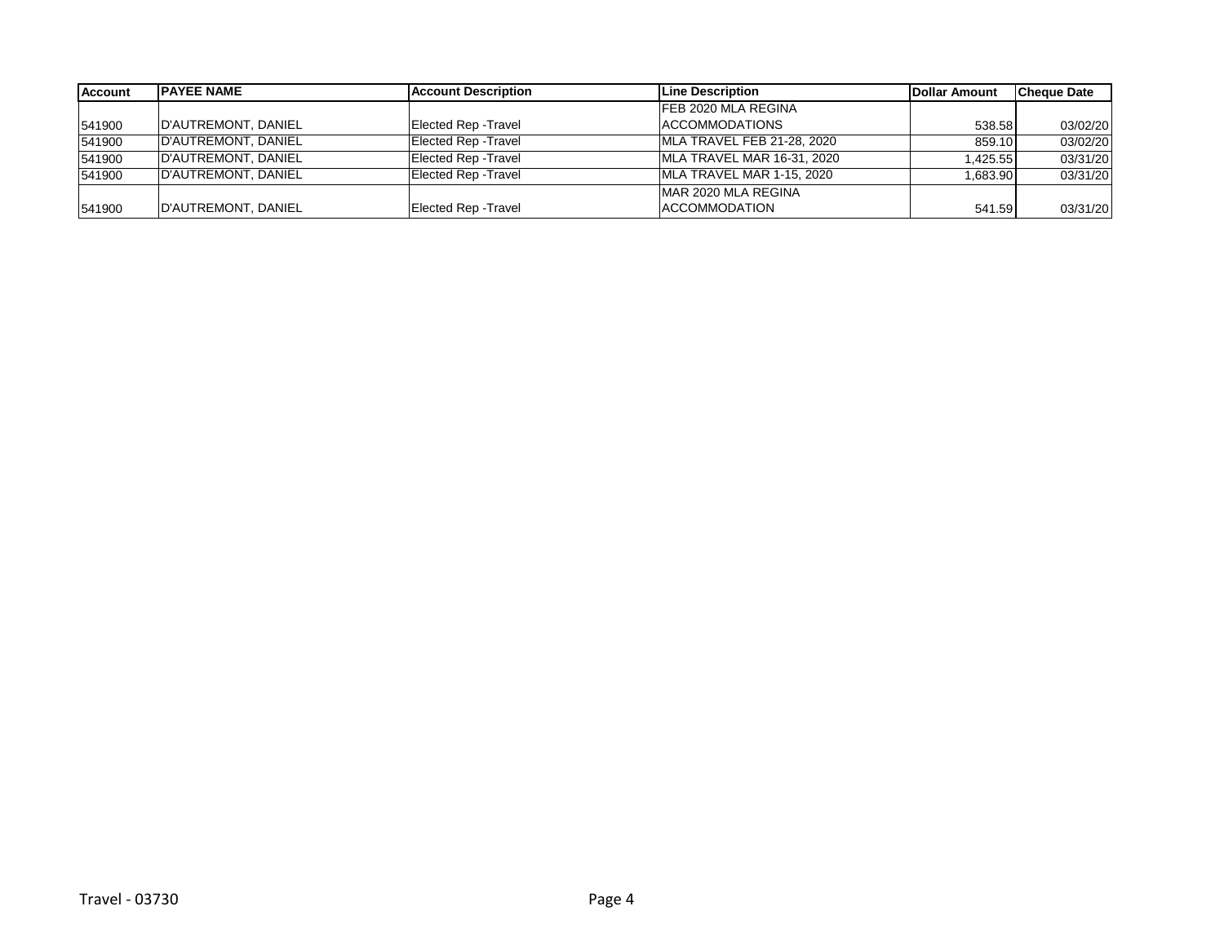| <b>Account</b> | <b>IPAYEE NAME</b>  | Account Description         | Line Description           | Dollar Amount | <b>Cheque Date</b> |
|----------------|---------------------|-----------------------------|----------------------------|---------------|--------------------|
|                |                     |                             | FEB 2020 MLA REGINA        |               |                    |
| 541900         | D'AUTREMONT, DANIEL | Elected Rep - Travel        | <b>ACCOMMODATIONS</b>      | 538.58        | 03/02/20           |
| 541900         | D'AUTREMONT, DANIEL | <b>Elected Rep - Travel</b> | MLA TRAVEL FEB 21-28, 2020 | 859.10        | 03/02/20           |
| 541900         | D'AUTREMONT, DANIEL | <b>Elected Rep - Travel</b> | MLA TRAVEL MAR 16-31, 2020 | .425.55       | 03/31/20           |
| 541900         | D'AUTREMONT, DANIEL | <b>Elected Rep - Travel</b> | MLA TRAVEL MAR 1-15, 2020  | .683.90       | 03/31/20           |
|                |                     |                             | IMAR 2020 MLA REGINA       |               |                    |
| 541900         | D'AUTREMONT, DANIEL | <b>Elected Rep - Travel</b> | <b>ACCOMMODATION</b>       | 541.59        | 03/31/20           |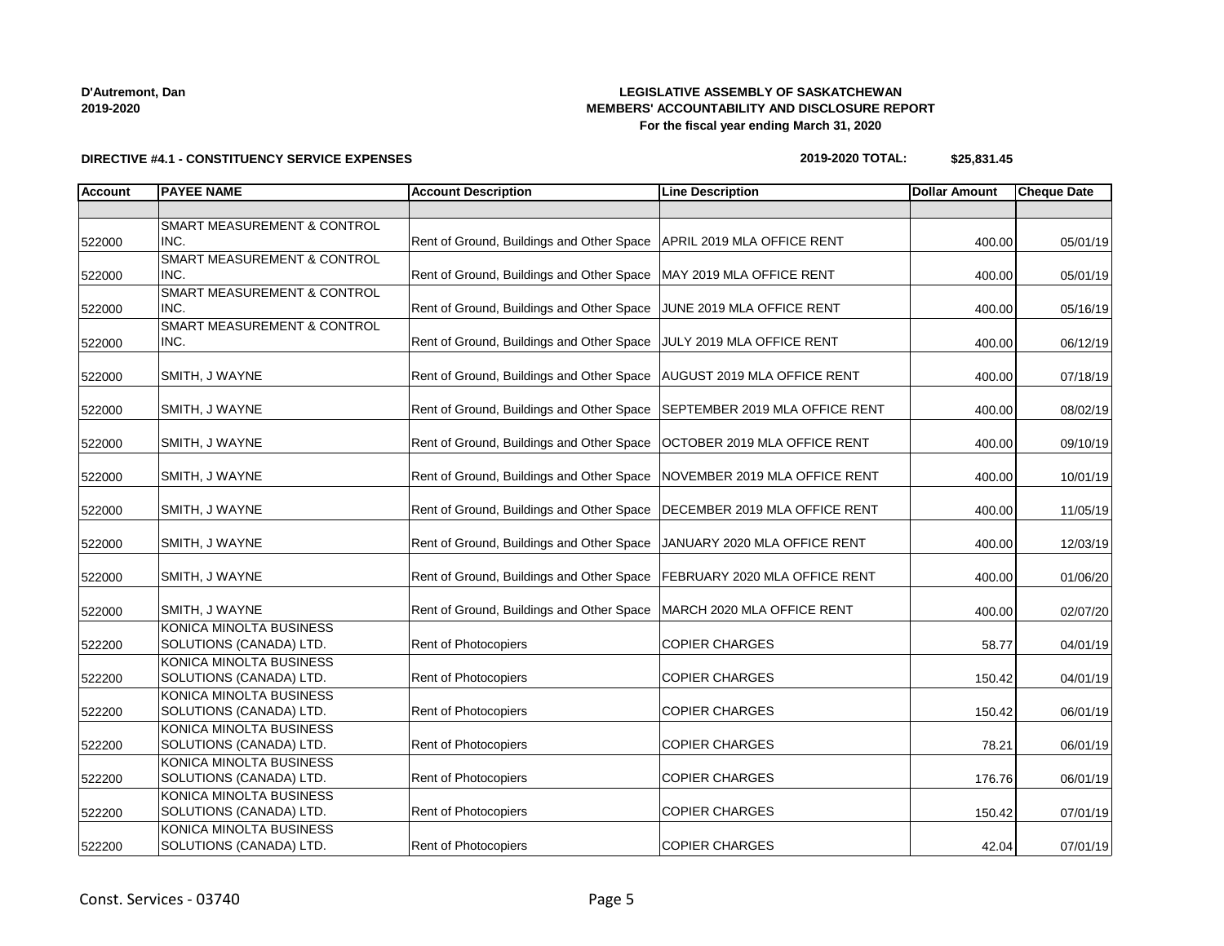# **LEGISLATIVE ASSEMBLY OF SASKATCHEWAN MEMBERS' ACCOUNTABILITY AND DISCLOSURE REPORT For the fiscal year ending March 31, 2020**

# **DIRECTIVE #4.1 - CONSTITUENCY SERVICE EXPENSES**

#### **2019-2020 TOTAL: \$25,831.45**

| <b>Account</b> | <b>PAYEE NAME</b>                      | <b>Account Description</b>                                                 | <b>Line Description</b> | <b>Dollar Amount</b> | <b>Cheque Date</b> |
|----------------|----------------------------------------|----------------------------------------------------------------------------|-------------------------|----------------------|--------------------|
|                |                                        |                                                                            |                         |                      |                    |
|                | <b>SMART MEASUREMENT &amp; CONTROL</b> |                                                                            |                         |                      |                    |
| 522000         | INC.                                   | Rent of Ground, Buildings and Other Space   APRIL 2019 MLA OFFICE RENT     |                         | 400.00               | 05/01/19           |
|                | <b>SMART MEASUREMENT &amp; CONTROL</b> |                                                                            |                         |                      |                    |
| 522000         | INC.                                   | Rent of Ground, Buildings and Other Space   MAY 2019 MLA OFFICE RENT       |                         | 400.00               | 05/01/19           |
|                | <b>SMART MEASUREMENT &amp; CONTROL</b> |                                                                            |                         |                      |                    |
| 522000         | INC.                                   | Rent of Ground, Buildings and Other Space JUNE 2019 MLA OFFICE RENT        |                         | 400.00               | 05/16/19           |
|                | <b>SMART MEASUREMENT &amp; CONTROL</b> |                                                                            |                         |                      |                    |
| 522000         | INC.                                   | Rent of Ground, Buildings and Other Space JULY 2019 MLA OFFICE RENT        |                         | 400.00               | 06/12/19           |
|                |                                        |                                                                            |                         |                      |                    |
| 522000         | SMITH, J WAYNE                         | Rent of Ground, Buildings and Other Space   AUGUST 2019 MLA OFFICE RENT    |                         | 400.00               | 07/18/19           |
|                |                                        |                                                                            |                         |                      |                    |
| 522000         | SMITH, J WAYNE                         | Rent of Ground, Buildings and Other Space   SEPTEMBER 2019 MLA OFFICE RENT |                         | 400.00               | 08/02/19           |
|                |                                        |                                                                            |                         |                      |                    |
| 522000         | SMITH, J WAYNE                         | Rent of Ground, Buildings and Other Space   OCTOBER 2019 MLA OFFICE RENT   |                         | 400.00               | 09/10/19           |
| 522000         | SMITH, J WAYNE                         | Rent of Ground, Buildings and Other Space NOVEMBER 2019 MLA OFFICE RENT    |                         | 400.00               | 10/01/19           |
|                |                                        |                                                                            |                         |                      |                    |
| 522000         | SMITH, J WAYNE                         | Rent of Ground, Buildings and Other Space   DECEMBER 2019 MLA OFFICE RENT  |                         | 400.00               | 11/05/19           |
|                |                                        |                                                                            |                         |                      |                    |
| 522000         | SMITH, J WAYNE                         | Rent of Ground, Buildings and Other Space   JANUARY 2020 MLA OFFICE RENT   |                         | 400.00               | 12/03/19           |
|                |                                        |                                                                            |                         |                      |                    |
| 522000         | SMITH, J WAYNE                         | Rent of Ground, Buildings and Other Space   FEBRUARY 2020 MLA OFFICE RENT  |                         | 400.00               | 01/06/20           |
|                |                                        |                                                                            |                         |                      |                    |
| 522000         | SMITH, J WAYNE                         | Rent of Ground, Buildings and Other Space   MARCH 2020 MLA OFFICE RENT     |                         | 400.00               | 02/07/20           |
|                | KONICA MINOLTA BUSINESS                |                                                                            |                         |                      |                    |
| 522200         | SOLUTIONS (CANADA) LTD.                | Rent of Photocopiers                                                       | <b>COPIER CHARGES</b>   | 58.77                | 04/01/19           |
|                | KONICA MINOLTA BUSINESS                |                                                                            |                         |                      |                    |
| 522200         | SOLUTIONS (CANADA) LTD.                | Rent of Photocopiers                                                       | <b>COPIER CHARGES</b>   | 150.42               | 04/01/19           |
|                | KONICA MINOLTA BUSINESS                |                                                                            |                         |                      |                    |
| 522200         | SOLUTIONS (CANADA) LTD.                | Rent of Photocopiers                                                       | <b>COPIER CHARGES</b>   | 150.42               | 06/01/19           |
|                | KONICA MINOLTA BUSINESS                |                                                                            |                         |                      |                    |
| 522200         | SOLUTIONS (CANADA) LTD.                | Rent of Photocopiers                                                       | <b>COPIER CHARGES</b>   | 78.21                | 06/01/19           |
|                | KONICA MINOLTA BUSINESS                |                                                                            |                         |                      |                    |
| 522200         | SOLUTIONS (CANADA) LTD.                | Rent of Photocopiers                                                       | <b>COPIER CHARGES</b>   | 176.76               | 06/01/19           |
|                | KONICA MINOLTA BUSINESS                |                                                                            |                         |                      |                    |
| 522200         | SOLUTIONS (CANADA) LTD.                | Rent of Photocopiers                                                       | <b>COPIER CHARGES</b>   | 150.42               | 07/01/19           |
|                | KONICA MINOLTA BUSINESS                |                                                                            |                         |                      |                    |
| 522200         | SOLUTIONS (CANADA) LTD.                | <b>Rent of Photocopiers</b>                                                | <b>COPIER CHARGES</b>   | 42.04                | 07/01/19           |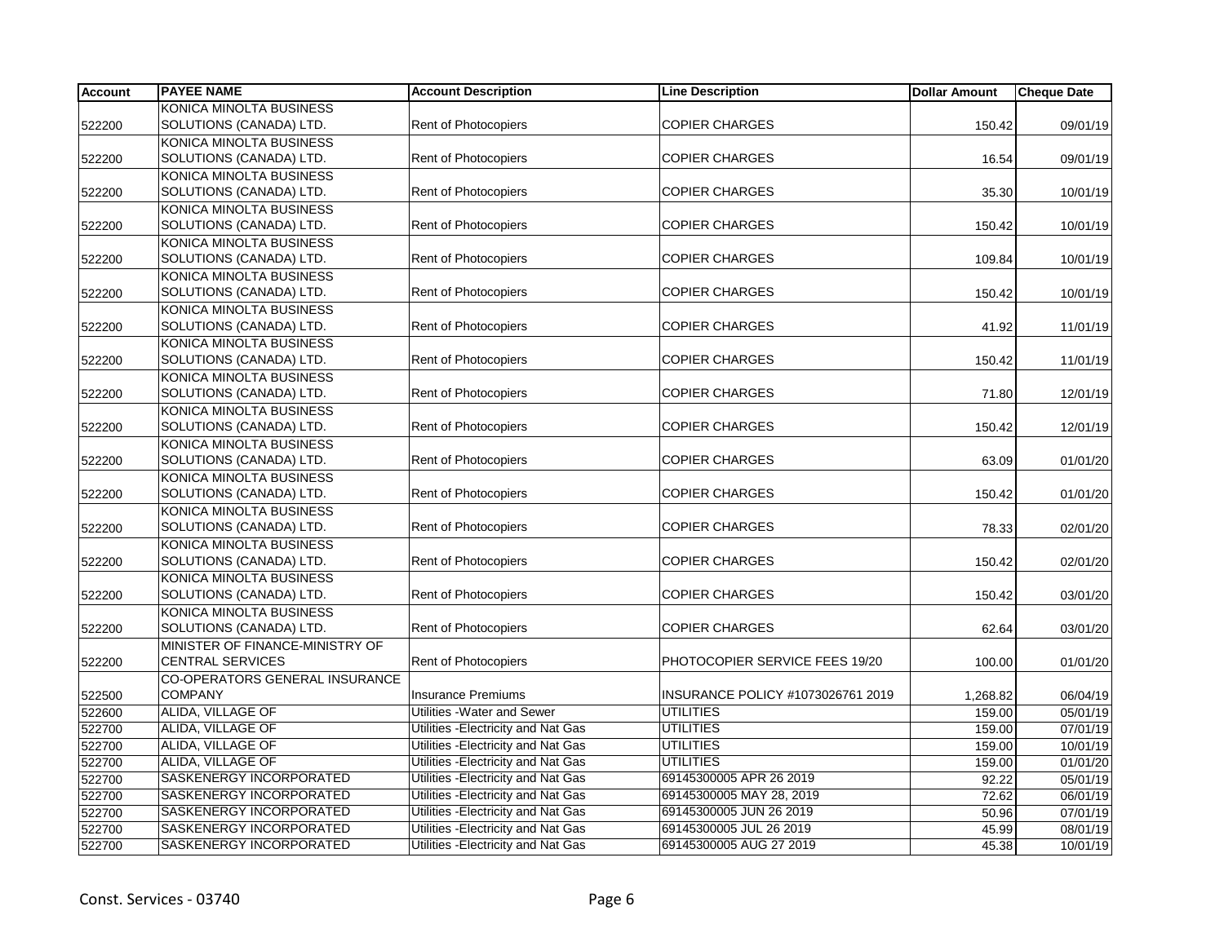| <b>Account</b> | <b>PAYEE NAME</b>               | <b>Account Description</b>          | <b>Line Description</b>           | <b>Dollar Amount</b> | <b>Cheque Date</b> |
|----------------|---------------------------------|-------------------------------------|-----------------------------------|----------------------|--------------------|
|                | KONICA MINOLTA BUSINESS         |                                     |                                   |                      |                    |
| 522200         | SOLUTIONS (CANADA) LTD.         | <b>Rent of Photocopiers</b>         | <b>COPIER CHARGES</b>             | 150.42               | 09/01/19           |
|                | KONICA MINOLTA BUSINESS         |                                     |                                   |                      |                    |
| 522200         | SOLUTIONS (CANADA) LTD.         | Rent of Photocopiers                | <b>COPIER CHARGES</b>             | 16.54                | 09/01/19           |
|                | KONICA MINOLTA BUSINESS         |                                     |                                   |                      |                    |
| 522200         | SOLUTIONS (CANADA) LTD.         | <b>Rent of Photocopiers</b>         | <b>COPIER CHARGES</b>             | 35.30                | 10/01/19           |
|                | KONICA MINOLTA BUSINESS         |                                     |                                   |                      |                    |
| 522200         | SOLUTIONS (CANADA) LTD.         | Rent of Photocopiers                | <b>COPIER CHARGES</b>             | 150.42               | 10/01/19           |
|                | KONICA MINOLTA BUSINESS         |                                     |                                   |                      |                    |
| 522200         | SOLUTIONS (CANADA) LTD.         | <b>Rent of Photocopiers</b>         | <b>COPIER CHARGES</b>             | 109.84               | 10/01/19           |
|                | KONICA MINOLTA BUSINESS         |                                     |                                   |                      |                    |
| 522200         | SOLUTIONS (CANADA) LTD.         | <b>Rent of Photocopiers</b>         | <b>COPIER CHARGES</b>             | 150.42               | 10/01/19           |
|                | KONICA MINOLTA BUSINESS         |                                     |                                   |                      |                    |
| 522200         | SOLUTIONS (CANADA) LTD.         | <b>Rent of Photocopiers</b>         | <b>COPIER CHARGES</b>             | 41.92                | 11/01/19           |
|                | KONICA MINOLTA BUSINESS         |                                     |                                   |                      |                    |
| 522200         | SOLUTIONS (CANADA) LTD.         | <b>Rent of Photocopiers</b>         | <b>COPIER CHARGES</b>             | 150.42               | 11/01/19           |
|                | KONICA MINOLTA BUSINESS         |                                     |                                   |                      |                    |
| 522200         | SOLUTIONS (CANADA) LTD.         | Rent of Photocopiers                | <b>COPIER CHARGES</b>             | 71.80                | 12/01/19           |
|                | KONICA MINOLTA BUSINESS         |                                     |                                   |                      |                    |
| 522200         | SOLUTIONS (CANADA) LTD.         | Rent of Photocopiers                | <b>COPIER CHARGES</b>             | 150.42               | 12/01/19           |
|                | KONICA MINOLTA BUSINESS         |                                     |                                   |                      |                    |
| 522200         | SOLUTIONS (CANADA) LTD.         | Rent of Photocopiers                | <b>COPIER CHARGES</b>             | 63.09                | 01/01/20           |
|                | KONICA MINOLTA BUSINESS         |                                     |                                   |                      |                    |
| 522200         | SOLUTIONS (CANADA) LTD.         | <b>Rent of Photocopiers</b>         | <b>COPIER CHARGES</b>             | 150.42               | 01/01/20           |
|                | KONICA MINOLTA BUSINESS         |                                     |                                   |                      |                    |
| 522200         | SOLUTIONS (CANADA) LTD.         | <b>Rent of Photocopiers</b>         | <b>COPIER CHARGES</b>             | 78.33                | 02/01/20           |
|                | KONICA MINOLTA BUSINESS         |                                     |                                   |                      |                    |
| 522200         | SOLUTIONS (CANADA) LTD.         | <b>Rent of Photocopiers</b>         | <b>COPIER CHARGES</b>             | 150.42               | 02/01/20           |
|                | KONICA MINOLTA BUSINESS         |                                     |                                   |                      |                    |
| 522200         | SOLUTIONS (CANADA) LTD.         | Rent of Photocopiers                | <b>COPIER CHARGES</b>             | 150.42               | 03/01/20           |
|                | KONICA MINOLTA BUSINESS         |                                     |                                   |                      |                    |
| 522200         | SOLUTIONS (CANADA) LTD.         | Rent of Photocopiers                | <b>COPIER CHARGES</b>             | 62.64                | 03/01/20           |
|                | MINISTER OF FINANCE-MINISTRY OF |                                     |                                   |                      |                    |
| 522200         | <b>CENTRAL SERVICES</b>         | <b>Rent of Photocopiers</b>         | PHOTOCOPIER SERVICE FEES 19/20    | 100.00               | 01/01/20           |
|                | CO-OPERATORS GENERAL INSURANCE  |                                     |                                   |                      |                    |
| 522500         | <b>COMPANY</b>                  | <b>Insurance Premiums</b>           | INSURANCE POLICY #1073026761 2019 | 1,268.82             | 06/04/19           |
| 522600         | ALIDA, VILLAGE OF               | Utilities - Water and Sewer         | <b>UTILITIES</b>                  | 159.00               | 05/01/19           |
| 522700         | <b>ALIDA, VILLAGE OF</b>        | Utilities - Electricity and Nat Gas | <b>UTILITIES</b>                  | 159.00               | 07/01/19           |
| 522700         | ALIDA, VILLAGE OF               | Utilities - Electricity and Nat Gas | <b>UTILITIES</b>                  | 159.00               | 10/01/19           |
| 522700         | ALIDA, VILLAGE OF               | Utilities - Electricity and Nat Gas | <b>UTILITIES</b>                  | 159.00               | 01/01/20           |
| 522700         | <b>SASKENERGY INCORPORATED</b>  | Utilities - Electricity and Nat Gas | 69145300005 APR 26 2019           | 92.22                | 05/01/19           |
| 522700         | SASKENERGY INCORPORATED         | Utilities - Electricity and Nat Gas | 69145300005 MAY 28, 2019          | 72.62                | 06/01/19           |
| 522700         | SASKENERGY INCORPORATED         | Utilities - Electricity and Nat Gas | 69145300005 JUN 26 2019           | 50.96                | 07/01/19           |
| 522700         | SASKENERGY INCORPORATED         | Utilities - Electricity and Nat Gas | 69145300005 JUL 26 2019           | 45.99                | 08/01/19           |
| 522700         | SASKENERGY INCORPORATED         | Utilities - Electricity and Nat Gas | 69145300005 AUG 27 2019           | 45.38                | 10/01/19           |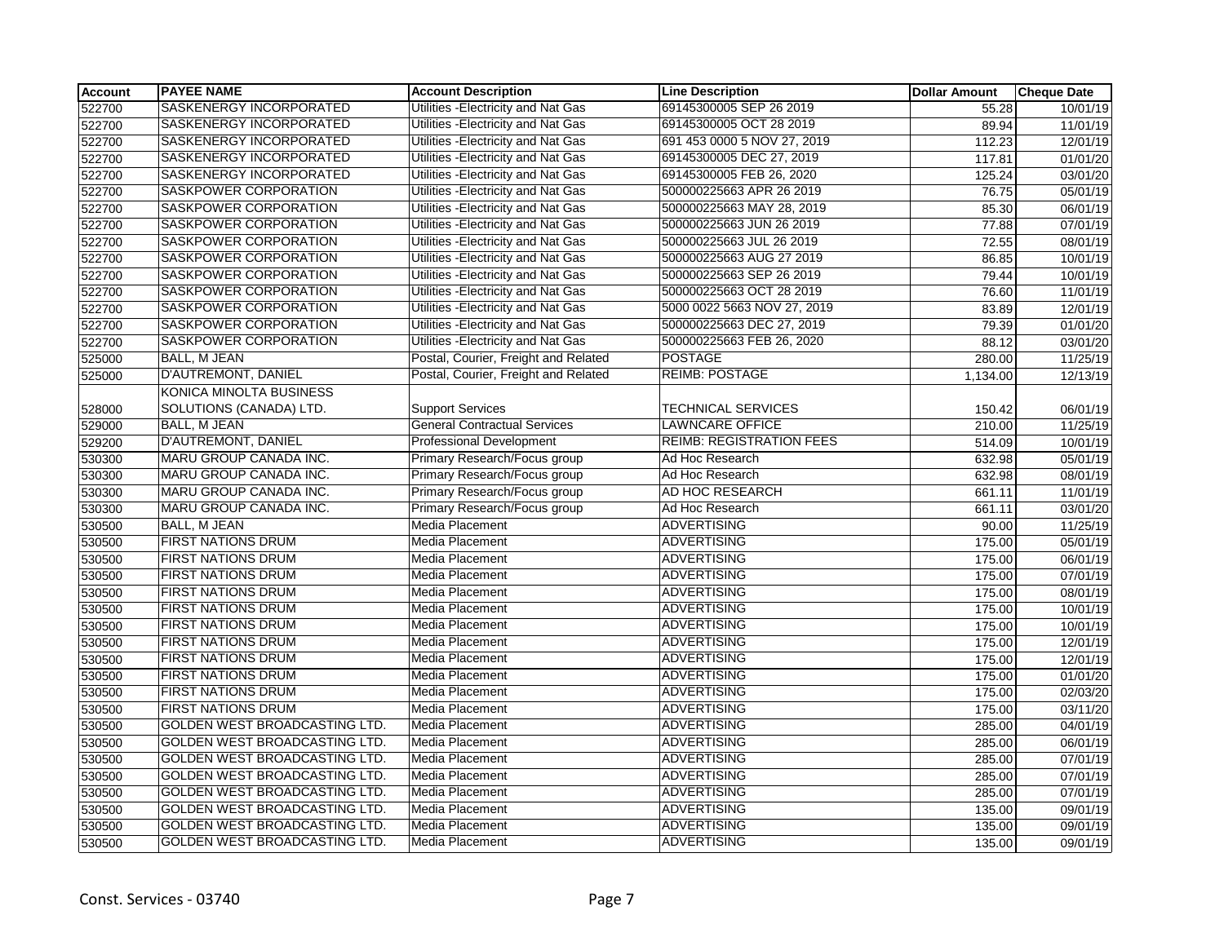| <b>Account</b> | <b>PAYEE NAME</b>              | <b>Account Description</b>           | <b>Line Description</b>         | <b>Dollar Amount</b> | <b>Cheque Date</b> |
|----------------|--------------------------------|--------------------------------------|---------------------------------|----------------------|--------------------|
| 522700         | <b>SASKENERGY INCORPORATED</b> | Utilities - Electricity and Nat Gas  | 69145300005 SEP 26 2019         | 55.28                | 10/01/19           |
| 522700         | SASKENERGY INCORPORATED        | Utilities - Electricity and Nat Gas  | 69145300005 OCT 28 2019         | 89.94                | 11/01/19           |
| 522700         | SASKENERGY INCORPORATED        | Utilities - Electricity and Nat Gas  | 691 453 0000 5 NOV 27, 2019     | 112.23               | 12/01/19           |
| 522700         | SASKENERGY INCORPORATED        | Utilities - Electricity and Nat Gas  | 69145300005 DEC 27, 2019        | 117.81               | 01/01/20           |
| 522700         | SASKENERGY INCORPORATED        | Utilities - Electricity and Nat Gas  | 69145300005 FEB 26, 2020        | 125.24               | 03/01/20           |
| 522700         | SASKPOWER CORPORATION          | Utilities - Electricity and Nat Gas  | 500000225663 APR 26 2019        | 76.75                | 05/01/19           |
| 522700         | <b>SASKPOWER CORPORATION</b>   | Utilities - Electricity and Nat Gas  | 500000225663 MAY 28, 2019       | 85.30                | 06/01/19           |
| 522700         | SASKPOWER CORPORATION          | Utilities - Electricity and Nat Gas  | 500000225663 JUN 26 2019        | 77.88                | 07/01/19           |
| 522700         | SASKPOWER CORPORATION          | Utilities - Electricity and Nat Gas  | 500000225663 JUL 26 2019        | 72.55                | 08/01/19           |
| 522700         | SASKPOWER CORPORATION          | Utilities - Electricity and Nat Gas  | 500000225663 AUG 27 2019        | 86.85                | 10/01/19           |
| 522700         | SASKPOWER CORPORATION          | Utilities - Electricity and Nat Gas  | 500000225663 SEP 26 2019        | 79.44                | 10/01/19           |
| 522700         | SASKPOWER CORPORATION          | Utilities - Electricity and Nat Gas  | 500000225663 OCT 28 2019        | 76.60                | 11/01/19           |
| 522700         | SASKPOWER CORPORATION          | Utilities - Electricity and Nat Gas  | 5000 0022 5663 NOV 27, 2019     | 83.89                | 12/01/19           |
| 522700         | SASKPOWER CORPORATION          | Utilities - Electricity and Nat Gas  | 500000225663 DEC 27, 2019       | 79.39                | 01/01/20           |
| 522700         | SASKPOWER CORPORATION          | Utilities - Electricity and Nat Gas  | 500000225663 FEB 26, 2020       | 88.12                | 03/01/20           |
| 525000         | <b>BALL, M JEAN</b>            | Postal, Courier, Freight and Related | <b>POSTAGE</b>                  | 280.00               | 11/25/19           |
| 525000         | <b>D'AUTREMONT, DANIEL</b>     | Postal, Courier, Freight and Related | <b>REIMB: POSTAGE</b>           | 1,134.00             | 12/13/19           |
|                | KONICA MINOLTA BUSINESS        |                                      |                                 |                      |                    |
| 528000         | SOLUTIONS (CANADA) LTD.        | <b>Support Services</b>              | TECHNICAL SERVICES              | 150.42               | 06/01/19           |
| 529000         | BALL, M JEAN                   | <b>General Contractual Services</b>  | <b>LAWNCARE OFFICE</b>          | 210.00               | 11/25/19           |
| 529200         | D'AUTREMONT, DANIEL            | <b>Professional Development</b>      | <b>REIMB: REGISTRATION FEES</b> | 514.09               | 10/01/19           |
| 530300         | MARU GROUP CANADA INC.         | Primary Research/Focus group         | Ad Hoc Research                 | 632.98               | 05/01/19           |
| 530300         | MARU GROUP CANADA INC.         | Primary Research/Focus group         | Ad Hoc Research                 | 632.98               | 08/01/19           |
| 530300         | MARU GROUP CANADA INC.         | Primary Research/Focus group         | AD HOC RESEARCH                 | 661.11               | 11/01/19           |
| 530300         | MARU GROUP CANADA INC.         | Primary Research/Focus group         | Ad Hoc Research                 | 661.11               | 03/01/20           |
| 530500         | <b>BALL, M JEAN</b>            | Media Placement                      | <b>ADVERTISING</b>              | 90.00                | 11/25/19           |
| 530500         | <b>FIRST NATIONS DRUM</b>      | Media Placement                      | <b>ADVERTISING</b>              | 175.00               | 05/01/19           |
| 530500         | <b>FIRST NATIONS DRUM</b>      | <b>Media Placement</b>               | <b>ADVERTISING</b>              | 175.00               | 06/01/19           |
| 530500         | <b>FIRST NATIONS DRUM</b>      | Media Placement                      | <b>ADVERTISING</b>              | 175.00               | 07/01/19           |
| 530500         | <b>FIRST NATIONS DRUM</b>      | <b>Media Placement</b>               | <b>ADVERTISING</b>              | 175.00               | 08/01/19           |
| 530500         | <b>FIRST NATIONS DRUM</b>      | <b>Media Placement</b>               | <b>ADVERTISING</b>              | 175.00               | 10/01/19           |
| 530500         | <b>FIRST NATIONS DRUM</b>      | Media Placement                      | <b>ADVERTISING</b>              | 175.00               | 10/01/19           |
| 530500         | <b>FIRST NATIONS DRUM</b>      | Media Placement                      | <b>ADVERTISING</b>              | 175.00               | 12/01/19           |
| 530500         | <b>FIRST NATIONS DRUM</b>      | Media Placement                      | <b>ADVERTISING</b>              | 175.00               | 12/01/19           |
| 530500         | <b>FIRST NATIONS DRUM</b>      | Media Placement                      | <b>ADVERTISING</b>              | 175.00               | 01/01/20           |
| 530500         | <b>FIRST NATIONS DRUM</b>      | Media Placement                      | <b>ADVERTISING</b>              | 175.00               | 02/03/20           |
| 530500         | <b>FIRST NATIONS DRUM</b>      | <b>Media Placement</b>               | <b>ADVERTISING</b>              | 175.00               | 03/11/20           |
| 530500         | GOLDEN WEST BROADCASTING LTD.  | Media Placement                      | <b>ADVERTISING</b>              | 285.00               | 04/01/19           |
| 530500         | GOLDEN WEST BROADCASTING LTD.  | Media Placement                      | <b>ADVERTISING</b>              | 285.00               | 06/01/19           |
| 530500         | GOLDEN WEST BROADCASTING LTD.  | Media Placement                      | <b>ADVERTISING</b>              | 285.00               | 07/01/19           |
| 530500         | GOLDEN WEST BROADCASTING LTD.  | <b>Media Placement</b>               | <b>ADVERTISING</b>              | 285.00               | 07/01/19           |
| 530500         | GOLDEN WEST BROADCASTING LTD.  | Media Placement                      | <b>ADVERTISING</b>              | 285.00               | 07/01/19           |
| 530500         | GOLDEN WEST BROADCASTING LTD.  | Media Placement                      | ADVERTISING                     | 135.00               | 09/01/19           |
| 530500         | GOLDEN WEST BROADCASTING LTD.  | Media Placement                      | <b>ADVERTISING</b>              | 135.00               | 09/01/19           |
| 530500         | GOLDEN WEST BROADCASTING LTD.  | Media Placement                      | <b>ADVERTISING</b>              | 135.00               | 09/01/19           |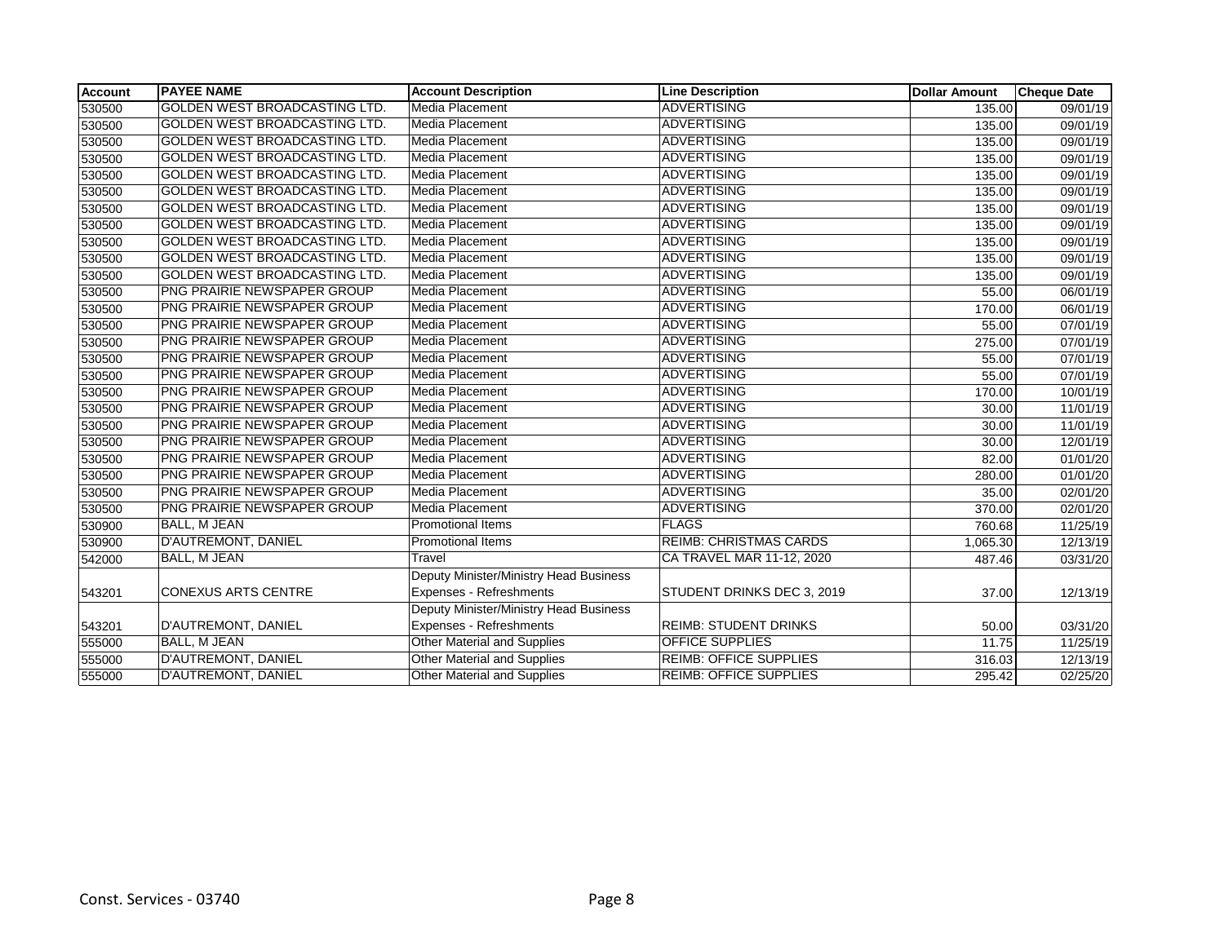| <b>Account</b> | <b>PAYEE NAME</b>                    | <b>Account Description</b>             | <b>Line Description</b>       | <b>Dollar Amount</b> | <b>Cheque Date</b>    |
|----------------|--------------------------------------|----------------------------------------|-------------------------------|----------------------|-----------------------|
| 530500         | <b>GOLDEN WEST BROADCASTING LTD.</b> | <b>Media Placement</b>                 | <b>ADVERTISING</b>            | 135.00               | $\overline{09}/01/19$ |
| 530500         | GOLDEN WEST BROADCASTING LTD.        | Media Placement                        | <b>ADVERTISING</b>            | 135.00               | 09/01/19              |
| 530500         | GOLDEN WEST BROADCASTING LTD.        | Media Placement                        | <b>ADVERTISING</b>            | 135.00               | 09/01/19              |
| 530500         | <b>GOLDEN WEST BROADCASTING LTD.</b> | Media Placement                        | <b>ADVERTISING</b>            | 135.00               | 09/01/19              |
| 530500         | GOLDEN WEST BROADCASTING LTD.        | Media Placement                        | ADVERTISING                   | 135.00               | 09/01/19              |
| 530500         | <b>GOLDEN WEST BROADCASTING LTD.</b> | Media Placement                        | <b>ADVERTISING</b>            | 135.00               | 09/01/19              |
| 530500         | <b>GOLDEN WEST BROADCASTING LTD.</b> | Media Placement                        | ADVERTISING                   | 135.00               | $\overline{09}/01/19$ |
| 530500         | GOLDEN WEST BROADCASTING LTD.        | Media Placement                        | ADVERTISING                   | 135.00               | 09/01/19              |
| 530500         | <b>GOLDEN WEST BROADCASTING LTD.</b> | Media Placement                        | <b>ADVERTISING</b>            | 135.00               | 09/01/19              |
| 530500         | GOLDEN WEST BROADCASTING LTD.        | Media Placement                        | ADVERTISING                   | 135.00               | 09/01/19              |
| 530500         | GOLDEN WEST BROADCASTING LTD.        | Media Placement                        | <b>ADVERTISING</b>            | 135.00               | 09/01/19              |
| 530500         | PNG PRAIRIE NEWSPAPER GROUP          | Media Placement                        | <b>ADVERTISING</b>            | 55.00                | 06/01/19              |
| 530500         | PNG PRAIRIE NEWSPAPER GROUP          | Media Placement                        | <b>ADVERTISING</b>            | 170.00               | 06/01/19              |
| 530500         | PNG PRAIRIE NEWSPAPER GROUP          | Media Placement                        | <b>ADVERTISING</b>            | 55.00                | 07/01/19              |
| 530500         | PNG PRAIRIE NEWSPAPER GROUP          | <b>Media Placement</b>                 | <b>ADVERTISING</b>            | 275.00               | 07/01/19              |
| 530500         | PNG PRAIRIE NEWSPAPER GROUP          | Media Placement                        | <b>ADVERTISING</b>            | 55.00                | 07/01/19              |
| 530500         | PNG PRAIRIE NEWSPAPER GROUP          | Media Placement                        | <b>ADVERTISING</b>            | 55.00                | 07/01/19              |
| 530500         | PNG PRAIRIE NEWSPAPER GROUP          | Media Placement                        | <b>ADVERTISING</b>            | 170.00               | 10/01/19              |
| 530500         | PNG PRAIRIE NEWSPAPER GROUP          | Media Placement                        | <b>ADVERTISING</b>            | 30.00                | 11/01/19              |
| 530500         | PNG PRAIRIE NEWSPAPER GROUP          | Media Placement                        | ADVERTISING                   | 30.00                | 11/01/19              |
| 530500         | PNG PRAIRIE NEWSPAPER GROUP          | Media Placement                        | <b>ADVERTISING</b>            | 30.00                | 12/01/19              |
| 530500         | PNG PRAIRIE NEWSPAPER GROUP          | Media Placement                        | ADVERTISING                   | 82.00                | 01/01/20              |
| 530500         | PNG PRAIRIE NEWSPAPER GROUP          | Media Placement                        | <b>ADVERTISING</b>            | 280.00               | 01/01/20              |
| 530500         | PNG PRAIRIE NEWSPAPER GROUP          | Media Placement                        | <b>ADVERTISING</b>            | 35.00                | 02/01/20              |
| 530500         | PNG PRAIRIE NEWSPAPER GROUP          | Media Placement                        | <b>ADVERTISING</b>            | 370.00               | 02/01/20              |
| 530900         | <b>BALL, M JEAN</b>                  | <b>Promotional Items</b>               | <b>FLAGS</b>                  | 760.68               | 11/25/19              |
| 530900         | D'AUTREMONT, DANIEL                  | Promotional Items                      | <b>REIMB: CHRISTMAS CARDS</b> | 1,065.30             | 12/13/19              |
| 542000         | <b>BALL, M JEAN</b>                  | Travel                                 | CA TRAVEL MAR 11-12, 2020     | 487.46               | 03/31/20              |
|                |                                      | Deputy Minister/Ministry Head Business |                               |                      |                       |
| 543201         | <b>CONEXUS ARTS CENTRE</b>           | Expenses - Refreshments                | STUDENT DRINKS DEC 3, 2019    | 37.00                | 12/13/19              |
|                |                                      | Deputy Minister/Ministry Head Business |                               |                      |                       |
| 543201         | D'AUTREMONT, DANIEL                  | Expenses - Refreshments                | <b>REIMB: STUDENT DRINKS</b>  | 50.00                | 03/31/20              |
| 555000         | <b>BALL, M JEAN</b>                  | Other Material and Supplies            | <b>OFFICE SUPPLIES</b>        | 11.75                | 11/25/19              |
| 555000         | D'AUTREMONT, DANIEL                  | Other Material and Supplies            | <b>REIMB: OFFICE SUPPLIES</b> | 316.03               | 12/13/19              |
| 555000         | D'AUTREMONT, DANIEL                  | Other Material and Supplies            | <b>REIMB: OFFICE SUPPLIES</b> | 295.42               | 02/25/20              |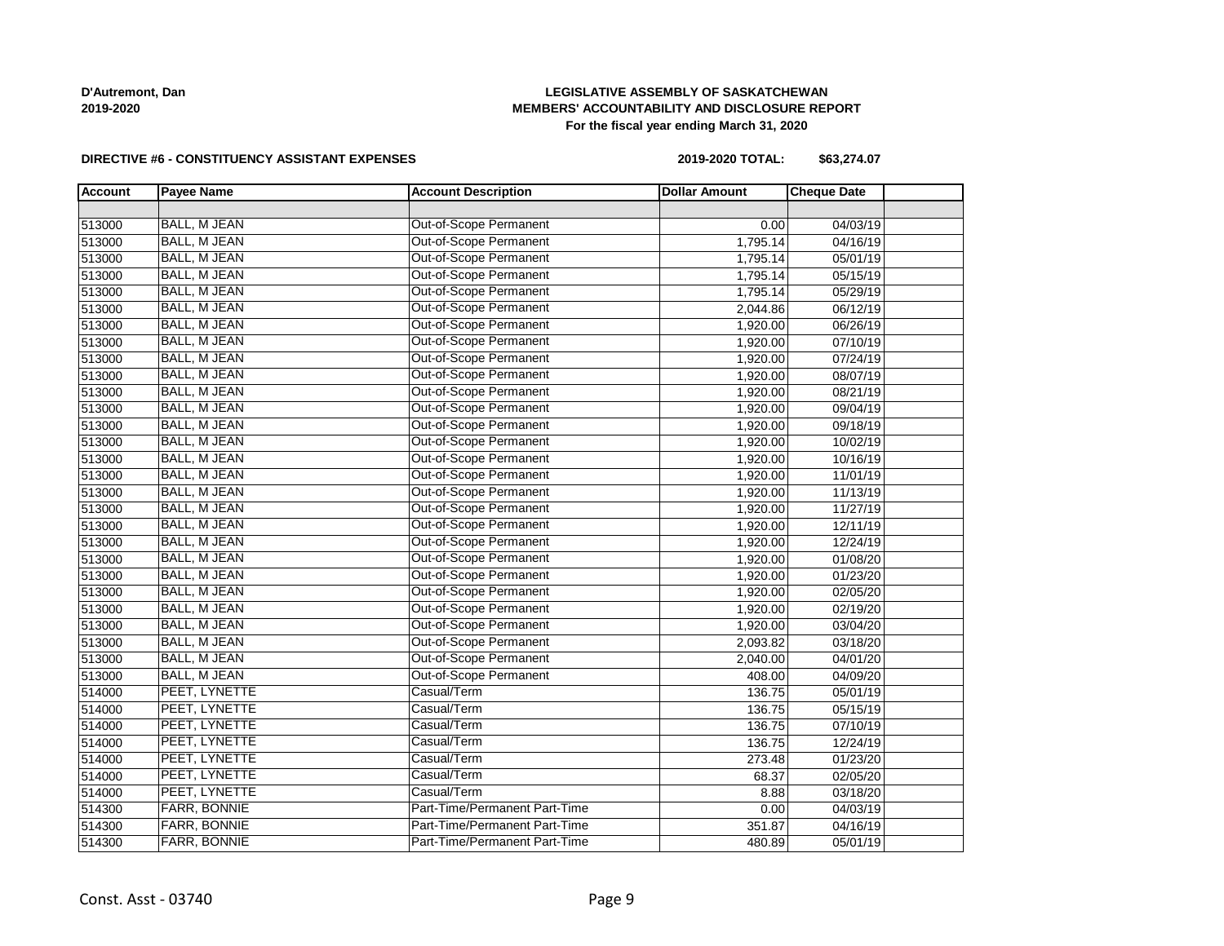# **LEGISLATIVE ASSEMBLY OF SASKATCHEWAN MEMBERS' ACCOUNTABILITY AND DISCLOSURE REPORT For the fiscal year ending March 31, 2020**

#### **DIRECTIVE #6 - CONSTITUENCY ASSISTANT EXPENSES**

**2019-2020 TOTAL: \$63,274.07**

| <b>Account</b> | <b>Payee Name</b>   | <b>Account Description</b>    | <b>Dollar Amount</b> | <b>Cheque Date</b> |  |
|----------------|---------------------|-------------------------------|----------------------|--------------------|--|
|                |                     |                               |                      |                    |  |
| 513000         | <b>BALL, M JEAN</b> | <b>Out-of-Scope Permanent</b> | 0.00                 | 04/03/19           |  |
| 513000         | <b>BALL, M JEAN</b> | Out-of-Scope Permanent        | 1,795.14             | 04/16/19           |  |
| 513000         | <b>BALL, M JEAN</b> | Out-of-Scope Permanent        | 1,795.14             | 05/01/19           |  |
| 513000         | <b>BALL, M JEAN</b> | Out-of-Scope Permanent        | 1,795.14             | 05/15/19           |  |
| 513000         | <b>BALL, M JEAN</b> | Out-of-Scope Permanent        | 1,795.14             | 05/29/19           |  |
| 513000         | <b>BALL, M JEAN</b> | Out-of-Scope Permanent        | 2,044.86             | 06/12/19           |  |
| 513000         | BALL, M JEAN        | Out-of-Scope Permanent        | 1,920.00             | 06/26/19           |  |
| 513000         | BALL, M JEAN        | Out-of-Scope Permanent        | 1,920.00             | 07/10/19           |  |
| 513000         | <b>BALL, M JEAN</b> | Out-of-Scope Permanent        | 1,920.00             | 07/24/19           |  |
| 513000         | <b>BALL, M JEAN</b> | Out-of-Scope Permanent        | 1,920.00             | 08/07/19           |  |
| 513000         | <b>BALL, M JEAN</b> | Out-of-Scope Permanent        | 1,920.00             | 08/21/19           |  |
| 513000         | BALL, M JEAN        | Out-of-Scope Permanent        | 1,920.00             | 09/04/19           |  |
| 513000         | BALL, M JEAN        | Out-of-Scope Permanent        | 1,920.00             | 09/18/19           |  |
| 513000         | BALL, M JEAN        | Out-of-Scope Permanent        | 1,920.00             | 10/02/19           |  |
| 513000         | <b>BALL, M JEAN</b> | Out-of-Scope Permanent        | 1,920.00             | 10/16/19           |  |
| 513000         | <b>BALL, M JEAN</b> | Out-of-Scope Permanent        | 1,920.00             | 11/01/19           |  |
| 513000         | BALL, M JEAN        | Out-of-Scope Permanent        | 1,920.00             | 11/13/19           |  |
| 513000         | BALL, M JEAN        | Out-of-Scope Permanent        | 1,920.00             | 11/27/19           |  |
| 513000         | <b>BALL, M JEAN</b> | Out-of-Scope Permanent        | 1,920.00             | 12/11/19           |  |
| 513000         | <b>BALL, M JEAN</b> | Out-of-Scope Permanent        | 1,920.00             | 12/24/19           |  |
| 513000         | BALL, M JEAN        | Out-of-Scope Permanent        | 1,920.00             | 01/08/20           |  |
| 513000         | <b>BALL, M JEAN</b> | Out-of-Scope Permanent        | 1,920.00             | 01/23/20           |  |
| 513000         | <b>BALL, M JEAN</b> | Out-of-Scope Permanent        | 1,920.00             | 02/05/20           |  |
| 513000         | <b>BALL, M JEAN</b> | Out-of-Scope Permanent        | 1,920.00             | 02/19/20           |  |
| 513000         | BALL, M JEAN        | Out-of-Scope Permanent        | 1,920.00             | 03/04/20           |  |
| 513000         | <b>BALL, M JEAN</b> | Out-of-Scope Permanent        | 2,093.82             | 03/18/20           |  |
| 513000         | <b>BALL, M JEAN</b> | Out-of-Scope Permanent        | 2,040.00             | 04/01/20           |  |
| 513000         | BALL, M JEAN        | Out-of-Scope Permanent        | 408.00               | 04/09/20           |  |
| 514000         | PEET, LYNETTE       | Casual/Term                   | 136.75               | 05/01/19           |  |
| 514000         | PEET, LYNETTE       | Casual/Term                   | 136.75               | 05/15/19           |  |
| 514000         | PEET, LYNETTE       | Casual/Term                   | 136.75               | 07/10/19           |  |
| 514000         | PEET, LYNETTE       | Casual/Term                   | 136.75               | 12/24/19           |  |
| 514000         | PEET, LYNETTE       | Casual/Term                   | 273.48               | 01/23/20           |  |
| 514000         | PEET, LYNETTE       | Casual/Term                   | 68.37                | 02/05/20           |  |
| 514000         | PEET, LYNETTE       | Casual/Term                   | 8.88                 | 03/18/20           |  |
| 514300         | FARR, BONNIE        | Part-Time/Permanent Part-Time | 0.00                 | 04/03/19           |  |
| 514300         | <b>FARR, BONNIE</b> | Part-Time/Permanent Part-Time | 351.87               | 04/16/19           |  |
| 514300         | <b>FARR, BONNIE</b> | Part-Time/Permanent Part-Time | 480.89               | 05/01/19           |  |